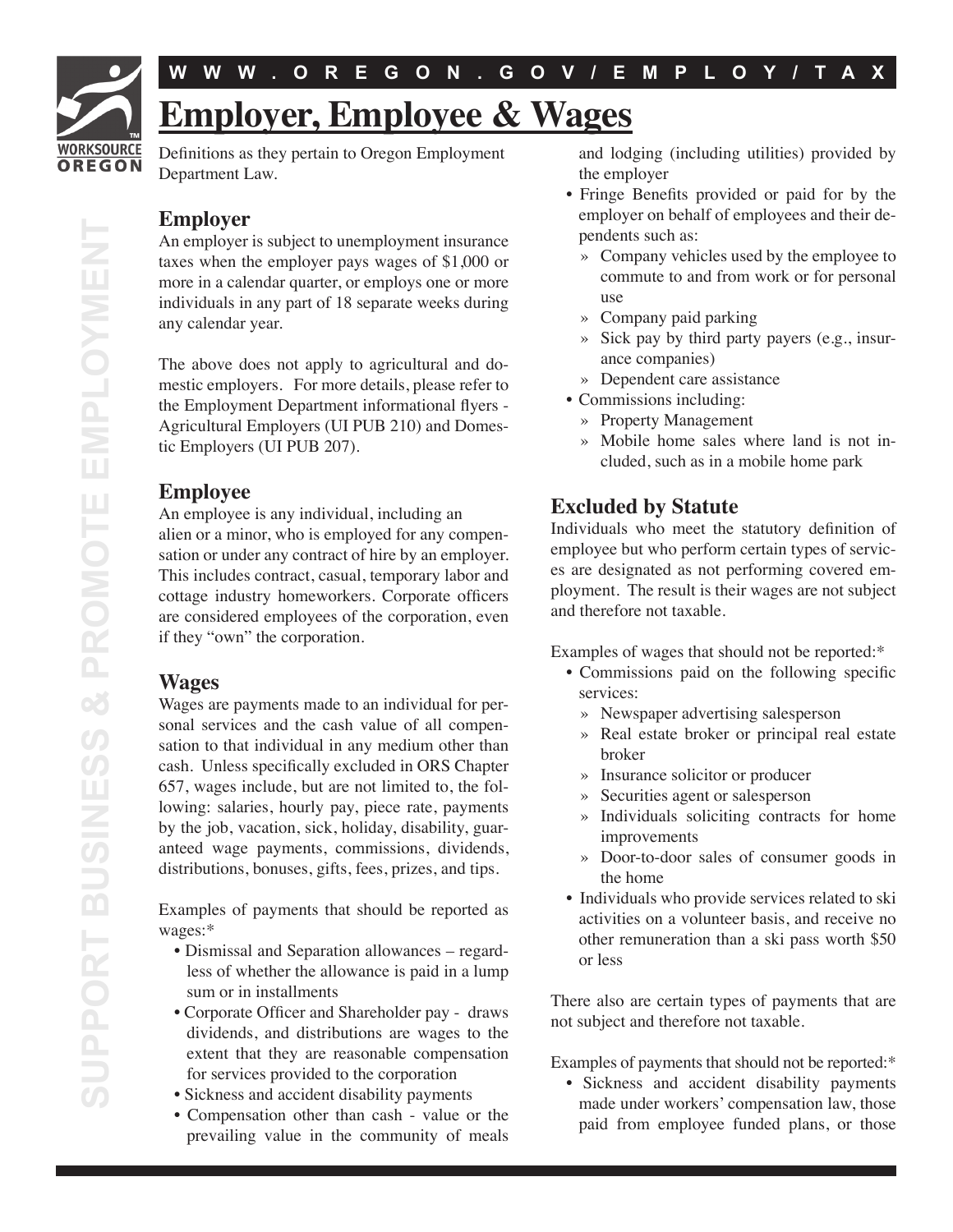

Definitions as they pertain to Oregon Employment Department Law.

### **Employer**

An employer is subject to unemployment insurance taxes when the employer pays wages of \$1,000 or more in a calendar quarter, or employs one or more individuals in any part of 18 separate weeks during any calendar year.

The above does not apply to agricultural and domestic employers. For more details, please refer to the Employment Department informational flyers - Agricultural Employers (UI PUB 210) and Domestic Employers (UI PUB 207).

### **Employee**

An employee is any individual, including an alien or a minor, who is employed for any compensation or under any contract of hire by an employer. This includes contract, casual, temporary labor and cottage industry homeworkers. Corporate officers are considered employees of the corporation, even if they "own" the corporation.

## **Wages**

Wages are payments made to an individual for personal services and the cash value of all compensation to that individual in any medium other than cash. Unless specifically excluded in ORS Chapter 657, wages include, but are not limited to, the following: salaries, hourly pay, piece rate, payments by the job, vacation, sick, holiday, disability, guaranteed wage payments, commissions, dividends, distributions, bonuses, gifts, fees, prizes, and tips.

Examples of payments that should be reported as wages:\*

- Dismissal and Separation allowances regardless of whether the allowance is paid in a lump sum or in installments
- Corporate Officer and Shareholder pay draws dividends, and distributions are wages to the extent that they are reasonable compensation for services provided to the corporation
- Sickness and accident disability payments
- Compensation other than cash value or the prevailing value in the community of meals

and lodging (including utilities) provided by the employer

- Fringe Benefits provided or paid for by the employer on behalf of employees and their dependents such as:
	- » Company vehicles used by the employee to commute to and from work or for personal use
	- » Company paid parking
	- » Sick pay by third party payers (e.g., insurance companies)
	- » Dependent care assistance
- Commissions including:
	- » Property Management
	- » Mobile home sales where land is not included, such as in a mobile home park

## **Excluded by Statute**

Individuals who meet the statutory definition of employee but who perform certain types of services are designated as not performing covered employment. The result is their wages are not subject and therefore not taxable.

Examples of wages that should not be reported:\*

- Commissions paid on the following specific services:
	- » Newspaper advertising salesperson
	- » Real estate broker or principal real estate broker
	- » Insurance solicitor or producer
	- Securities agent or salesperson
	- » Individuals soliciting contracts for home improvements
	- » Door-to-door sales of consumer goods in the home
- Individuals who provide services related to ski activities on a volunteer basis, and receive no other remuneration than a ski pass worth \$50 or less

There also are certain types of payments that are not subject and therefore not taxable.

Examples of payments that should not be reported:\*

• Sickness and accident disability payments made under workers' compensation law, those paid from employee funded plans, or those